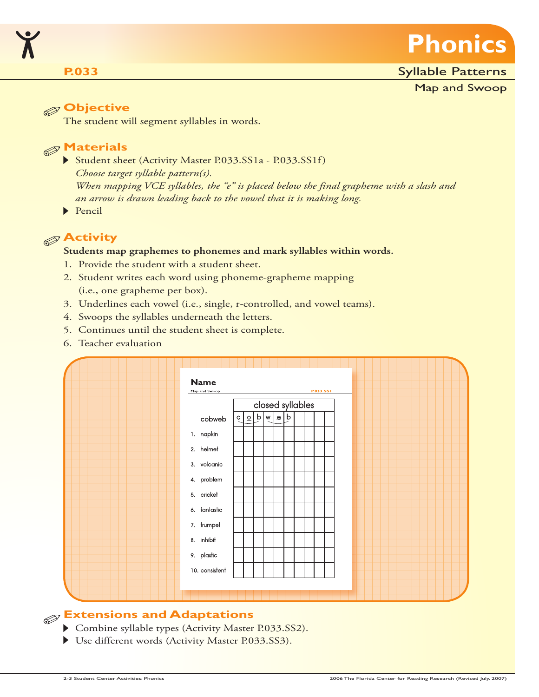

#### **P.033**

#### Syllable Patterns

Map and Swoop

#### **Objective**

The student will segment syllables in words.

### **Materials**

- Student sheet (Activity Master P.033.SS1a P.033.SS1f) *Choose target syllable pattern(s). When mapping VCE syllables, the "e" is placed below the final grapheme with a slash and an arrow is drawn leading back to the vowel that it is making long.*
- Pencil

### **Activity**

#### **Students map graphemes to phonemes and mark syllables within words.**

- 1. Provide the student with a student sheet.
- 2. Student writes each word using phoneme-grapheme mapping (i.e., one grapheme per box).
- 3. Underlines each vowel (i.e., single, r-controlled, and vowel teams).
- 4. Swoops the syllables underneath the letters.
- 5. Continues until the student sheet is complete.
- 6. Teacher evaluation



### **Extensions and Adaptations**

- Combine syllable types (Activity Master P.033.SS2).
- Use different words (Activity Master P.033.SS3).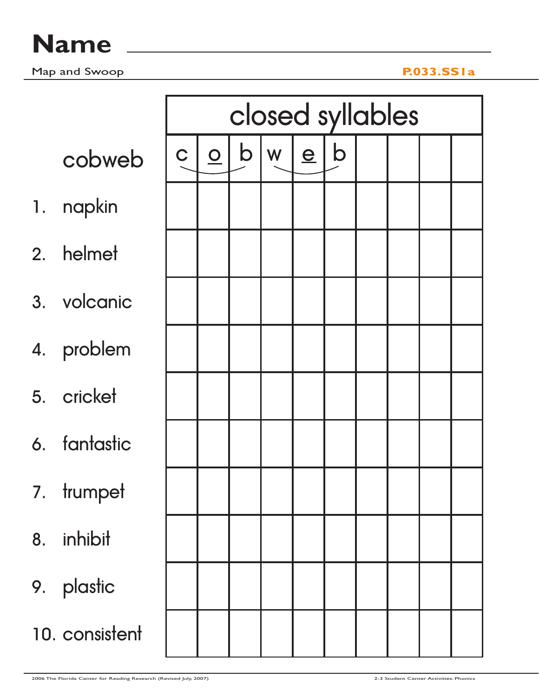|    |                |             | closed syllables |     |              |     |  |  |  |  |  |  |  |
|----|----------------|-------------|------------------|-----|--------------|-----|--|--|--|--|--|--|--|
|    | cobweb         | $\mathbf C$ |                  | Q b | $\mathsf{w}$ | e b |  |  |  |  |  |  |  |
|    | 1. napkin      |             |                  |     |              |     |  |  |  |  |  |  |  |
|    | 2. helmet      |             |                  |     |              |     |  |  |  |  |  |  |  |
|    | 3. volcanic    |             |                  |     |              |     |  |  |  |  |  |  |  |
|    | 4. problem     |             |                  |     |              |     |  |  |  |  |  |  |  |
|    | 5. cricket     |             |                  |     |              |     |  |  |  |  |  |  |  |
|    | 6. fantastic   |             |                  |     |              |     |  |  |  |  |  |  |  |
| 7. | trumpet        |             |                  |     |              |     |  |  |  |  |  |  |  |
| 8. | inhibit        |             |                  |     |              |     |  |  |  |  |  |  |  |
|    | 9. plastic     |             |                  |     |              |     |  |  |  |  |  |  |  |
|    | 10. consistent |             |                  |     |              |     |  |  |  |  |  |  |  |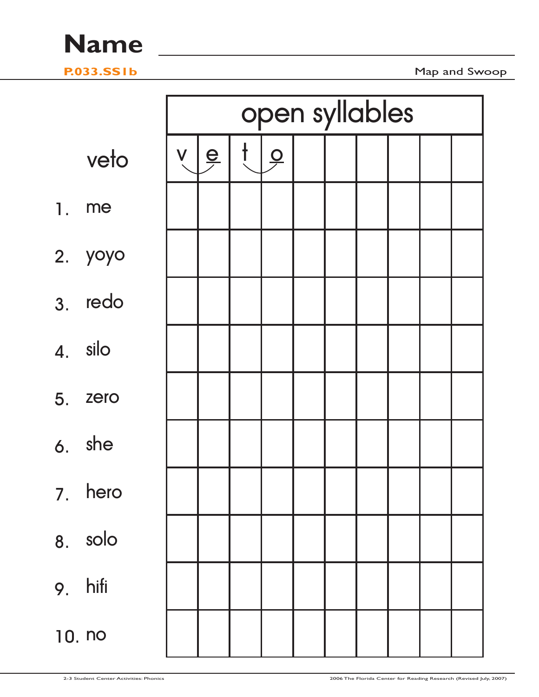

Map and Swoop

|    |         |          |                      | open syllables |  |  |  |
|----|---------|----------|----------------------|----------------|--|--|--|
|    | veto    | <b>V</b> | $\frac{e}{\sqrt{2}}$ | $\frac{1}{2}$  |  |  |  |
| 1. | me      |          |                      |                |  |  |  |
|    | 2. yoyo |          |                      |                |  |  |  |
|    | 3. redo |          |                      |                |  |  |  |
|    | 4. silo |          |                      |                |  |  |  |
|    | 5. zero |          |                      |                |  |  |  |
|    | 6. she  |          |                      |                |  |  |  |
| 7. | hero    |          |                      |                |  |  |  |
|    | 8. solo |          |                      |                |  |  |  |
|    | 9. hifi |          |                      |                |  |  |  |
|    | 10. no  |          |                      |                |  |  |  |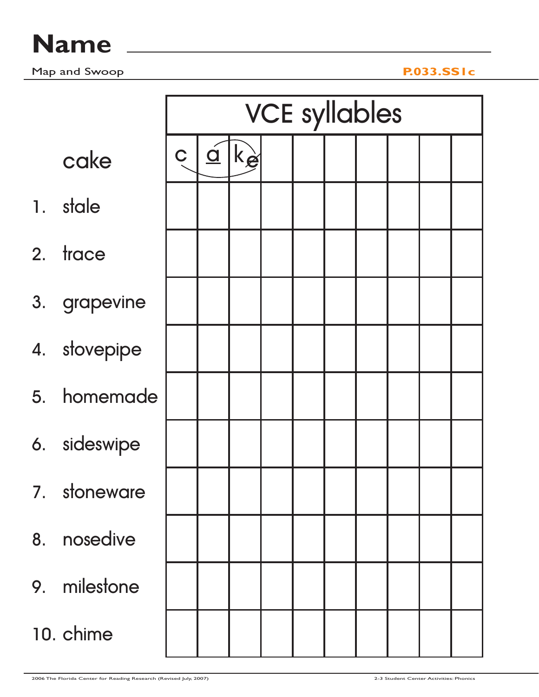|                |              |             | <b>VCE syllables</b> |             |  |  |  |  |  |  |  |  |  |  |  |
|----------------|--------------|-------------|----------------------|-------------|--|--|--|--|--|--|--|--|--|--|--|
|                | cake         | $\mathbf C$ | $\overline{a}$       | $ k$ $\geq$ |  |  |  |  |  |  |  |  |  |  |  |
| $\mathbf{1}$ . | stale        |             |                      |             |  |  |  |  |  |  |  |  |  |  |  |
| 2.             | trace        |             |                      |             |  |  |  |  |  |  |  |  |  |  |  |
|                | 3. grapevine |             |                      |             |  |  |  |  |  |  |  |  |  |  |  |
|                | 4. stovepipe |             |                      |             |  |  |  |  |  |  |  |  |  |  |  |
|                | 5. homemade  |             |                      |             |  |  |  |  |  |  |  |  |  |  |  |
|                | 6. sideswipe |             |                      |             |  |  |  |  |  |  |  |  |  |  |  |
|                | 7. stoneware |             |                      |             |  |  |  |  |  |  |  |  |  |  |  |
|                | 8. nosedive  |             |                      |             |  |  |  |  |  |  |  |  |  |  |  |
|                | 9. milestone |             |                      |             |  |  |  |  |  |  |  |  |  |  |  |
|                | 10. chime    |             |                      |             |  |  |  |  |  |  |  |  |  |  |  |

2006 The Florida Center for Reading Research (Revised July, 2007) 2-3 Student Center Activities: Phonics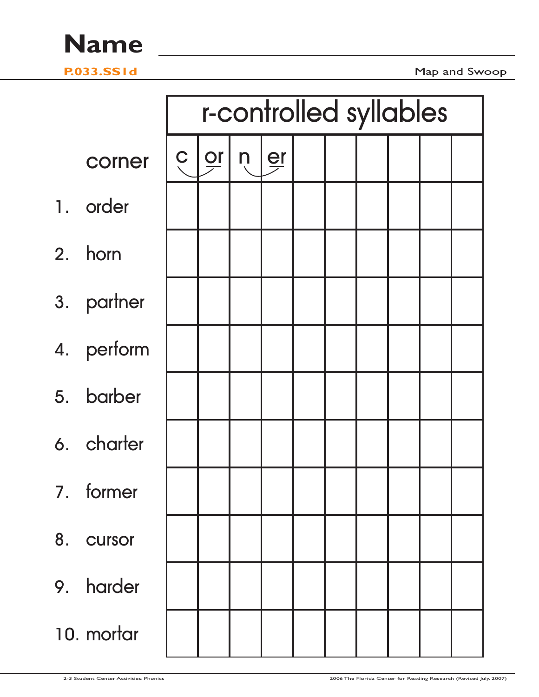**P.033.SS1d** Map and Swoop

|    |            |                |             | r-controlled syllables  |  |  |  |
|----|------------|----------------|-------------|-------------------------|--|--|--|
|    | corner     | $\overline{C}$ | $ P_{\geq}$ | $n \mid \underline{er}$ |  |  |  |
|    | 1. order   |                |             |                         |  |  |  |
|    | 2. horn    |                |             |                         |  |  |  |
|    | 3. partner |                |             |                         |  |  |  |
|    | 4. perform |                |             |                         |  |  |  |
|    | 5. barber  |                |             |                         |  |  |  |
|    | 6. charter |                |             |                         |  |  |  |
| 7. | former     |                |             |                         |  |  |  |
|    | 8. cursor  |                |             |                         |  |  |  |
|    | 9. harder  |                |             |                         |  |  |  |
|    | 10. mortar |                |             |                         |  |  |  |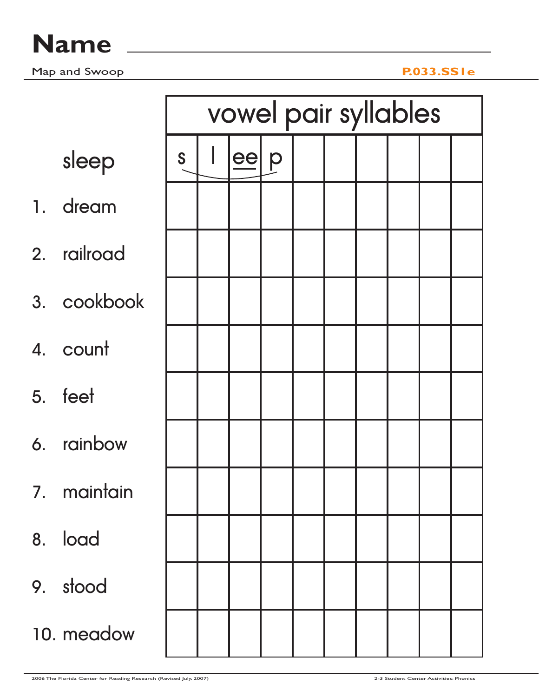|             |   | vowel pair syllables |    |   |  |  |  |  |  |  |  |  |  |  |
|-------------|---|----------------------|----|---|--|--|--|--|--|--|--|--|--|--|
| sleep       | S |                      | ee | p |  |  |  |  |  |  |  |  |  |  |
| 1. dream    |   |                      |    |   |  |  |  |  |  |  |  |  |  |  |
| 2. railroad |   |                      |    |   |  |  |  |  |  |  |  |  |  |  |
| 3. cookbook |   |                      |    |   |  |  |  |  |  |  |  |  |  |  |
| 4. count    |   |                      |    |   |  |  |  |  |  |  |  |  |  |  |
| 5. feet     |   |                      |    |   |  |  |  |  |  |  |  |  |  |  |
| 6. rainbow  |   |                      |    |   |  |  |  |  |  |  |  |  |  |  |
| 7. maintain |   |                      |    |   |  |  |  |  |  |  |  |  |  |  |
| 8. load     |   |                      |    |   |  |  |  |  |  |  |  |  |  |  |
| 9. stood    |   |                      |    |   |  |  |  |  |  |  |  |  |  |  |
| 10. meadow  |   |                      |    |   |  |  |  |  |  |  |  |  |  |  |

2006 The Florida Center for Reading Research (Revised July, 2007) 2-3 Student Center Activities: Phonics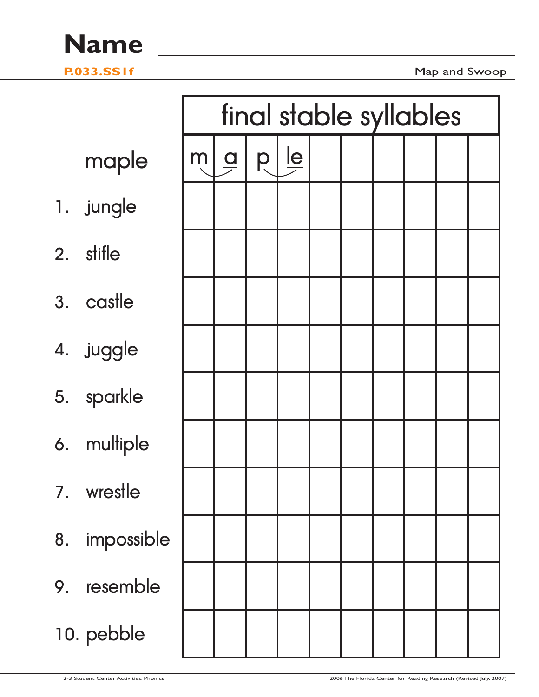**P.033.SS1f** Map and Swoop

|                  |   | final stable syllables |   |                           |  |  |  |  |  |  |  |  |  |
|------------------|---|------------------------|---|---------------------------|--|--|--|--|--|--|--|--|--|
| maple            | m | $\frac{q}{\sqrt{q}}$   | p | $\mathbf{\underline{le}}$ |  |  |  |  |  |  |  |  |  |
| 1. jungle        |   |                        |   |                           |  |  |  |  |  |  |  |  |  |
| 2. stifle        |   |                        |   |                           |  |  |  |  |  |  |  |  |  |
| 3. castle        |   |                        |   |                           |  |  |  |  |  |  |  |  |  |
| 4. juggle        |   |                        |   |                           |  |  |  |  |  |  |  |  |  |
| 5. sparkle       |   |                        |   |                           |  |  |  |  |  |  |  |  |  |
| 6. multiple      |   |                        |   |                           |  |  |  |  |  |  |  |  |  |
| wrestle<br>7.    |   |                        |   |                           |  |  |  |  |  |  |  |  |  |
| impossible<br>8. |   |                        |   |                           |  |  |  |  |  |  |  |  |  |
| resemble<br>9.   |   |                        |   |                           |  |  |  |  |  |  |  |  |  |
| 10. pebble       |   |                        |   |                           |  |  |  |  |  |  |  |  |  |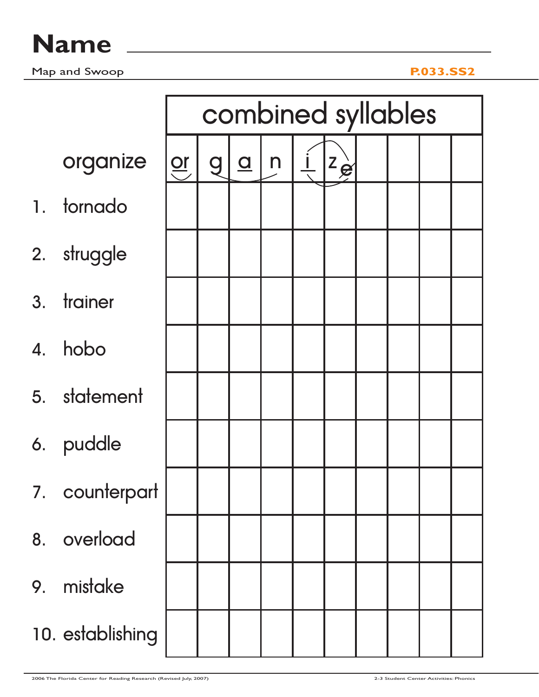|    |                  |                       | combined syllables |                |              |  |                 |  |  |  |  |  |  |  |  |
|----|------------------|-----------------------|--------------------|----------------|--------------|--|-----------------|--|--|--|--|--|--|--|--|
|    | organize         | $\frac{or}{\sqrt{1}}$ | <b>g</b>           | $\overline{a}$ | $\mathsf{n}$ |  | $ z_{\hat{g}} $ |  |  |  |  |  |  |  |  |
|    | 1. tornado       |                       |                    |                |              |  |                 |  |  |  |  |  |  |  |  |
|    | 2. struggle      |                       |                    |                |              |  |                 |  |  |  |  |  |  |  |  |
|    | 3. trainer       |                       |                    |                |              |  |                 |  |  |  |  |  |  |  |  |
|    | 4. hobo          |                       |                    |                |              |  |                 |  |  |  |  |  |  |  |  |
|    | 5. statement     |                       |                    |                |              |  |                 |  |  |  |  |  |  |  |  |
|    | 6. puddle        |                       |                    |                |              |  |                 |  |  |  |  |  |  |  |  |
|    | 7. counterpart   |                       |                    |                |              |  |                 |  |  |  |  |  |  |  |  |
| 8. | overload         |                       |                    |                |              |  |                 |  |  |  |  |  |  |  |  |
| 9. | mistake          |                       |                    |                |              |  |                 |  |  |  |  |  |  |  |  |
|    | 10. establishing |                       |                    |                |              |  |                 |  |  |  |  |  |  |  |  |